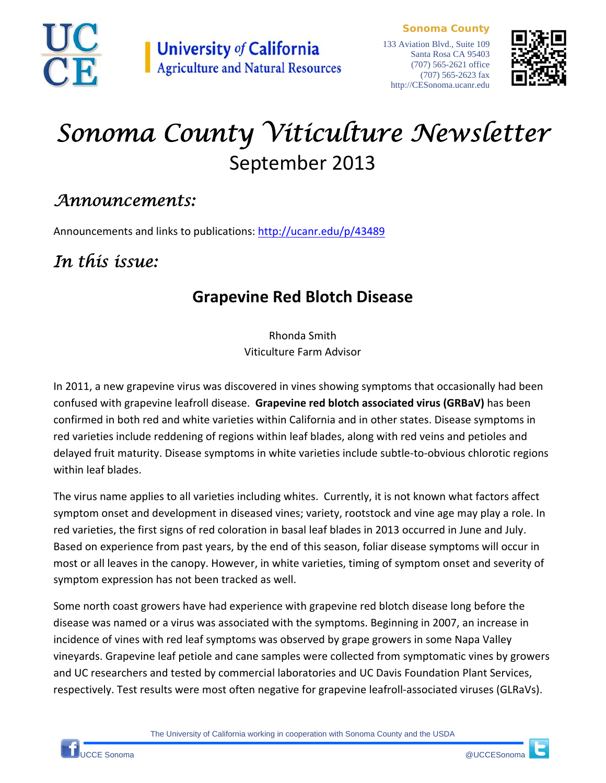

**Sonoma County**



# *Sonoma County Viticulture Newsletter*  September 2013

### *Announcements:*

Announcements and links to publications: http://ucanr.edu/p/43489

# *In this issue:*

## **Grapevine Red Blotch Disease**

Rhonda Smith Viticulture Farm Advisor

In 2011, a new grapevine virus was discovered in vines showing symptoms that occasionally had been confused with grapevine leafroll disease. **Grapevine red blotch associated virus (GRBaV)** has been confirmed in both red and white varieties within California and in other states. Disease symptoms in red varieties include reddening of regions within leaf blades, along with red veins and petioles and delayed fruit maturity. Disease symptoms in white varieties include subtle‐to‐obvious chlorotic regions within leaf blades.

The virus name applies to all varieties including whites. Currently, it is not known what factors affect symptom onset and development in diseased vines; variety, rootstock and vine age may play a role. In red varieties, the first signs of red coloration in basal leaf blades in 2013 occurred in June and July. Based on experience from past years, by the end of this season, foliar disease symptoms will occur in most or all leaves in the canopy. However, in white varieties, timing of symptom onset and severity of symptom expression has not been tracked as well.

Some north coast growers have had experience with grapevine red blotch disease long before the disease was named or a virus was associated with the symptoms. Beginning in 2007, an increase in incidence of vines with red leaf symptoms was observed by grape growers in some Napa Valley vineyards. Grapevine leaf petiole and cane samples were collected from symptomatic vines by growers and UC researchers and tested by commercial laboratories and UC Davis Foundation Plant Services, respectively. Test results were most often negative for grapevine leafroll‐associated viruses (GLRaVs).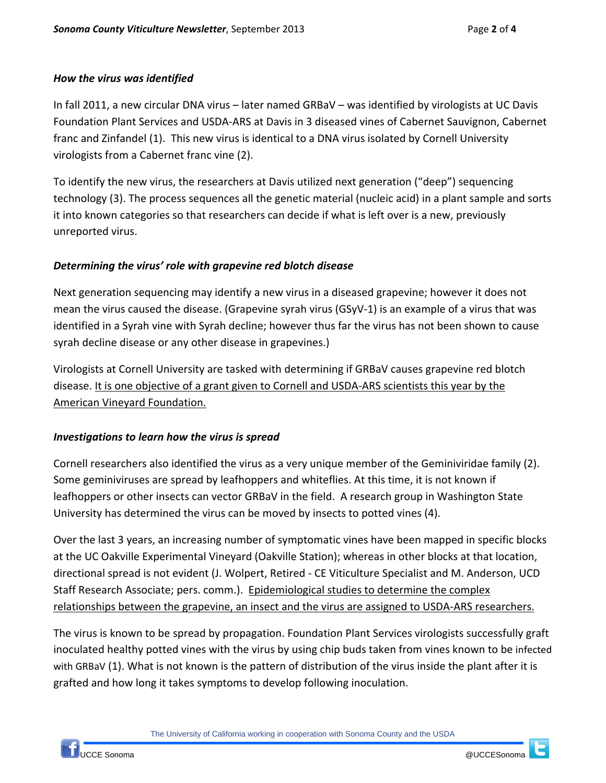#### *How the virus was identified*

In fall 2011, a new circular DNA virus – later named GRBaV – was identified by virologists at UC Davis Foundation Plant Services and USDA‐ARS at Davis in 3 diseased vines of Cabernet Sauvignon, Cabernet franc and Zinfandel (1). This new virus is identical to a DNA virus isolated by Cornell University virologists from a Cabernet franc vine (2).

To identify the new virus, the researchers at Davis utilized next generation ("deep") sequencing technology (3). The process sequences all the genetic material (nucleic acid) in a plant sample and sorts it into known categories so that researchers can decide if what is left over is a new, previously unreported virus.

#### *Determining the virus' role with grapevine red blotch disease*

Next generation sequencing may identify a new virus in a diseased grapevine; however it does not mean the virus caused the disease. (Grapevine syrah virus (GSyV‐1) is an example of a virus that was identified in a Syrah vine with Syrah decline; however thus far the virus has not been shown to cause syrah decline disease or any other disease in grapevines.)

Virologists at Cornell University are tasked with determining if GRBaV causes grapevine red blotch disease. It is one objective of a grant given to Cornell and USDA‐ARS scientists this year by the American Vineyard Foundation.

#### *Investigations to learn how the virus is spread*

Cornell researchers also identified the virus as a very unique member of the Geminiviridae family (2). Some geminiviruses are spread by leafhoppers and whiteflies. At this time, it is not known if leafhoppers or other insects can vector GRBaV in the field. A research group in Washington State University has determined the virus can be moved by insects to potted vines (4).

Over the last 3 years, an increasing number of symptomatic vines have been mapped in specific blocks at the UC Oakville Experimental Vineyard (Oakville Station); whereas in other blocks at that location, directional spread is not evident (J. Wolpert, Retired ‐ CE Viticulture Specialist and M. Anderson, UCD Staff Research Associate; pers. comm.). Epidemiological studies to determine the complex relationships between the grapevine, an insect and the virus are assigned to USDA‐ARS researchers.

The virus is known to be spread by propagation. Foundation Plant Services virologists successfully graft inoculated healthy potted vines with the virus by using chip buds taken from vines known to be infected with GRBaV (1). What is not known is the pattern of distribution of the virus inside the plant after it is grafted and how long it takes symptoms to develop following inoculation.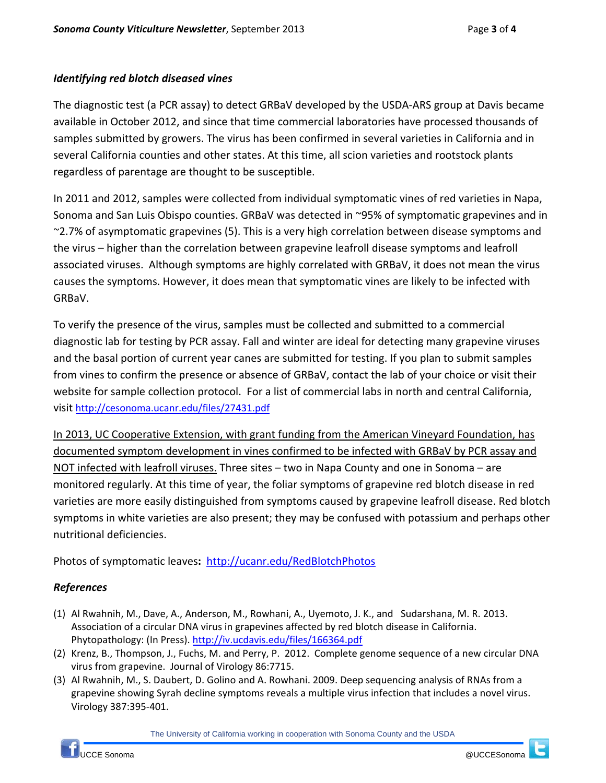#### *Identifying red blotch diseased vines*

The diagnostic test (a PCR assay) to detect GRBaV developed by the USDA‐ARS group at Davis became available in October 2012, and since that time commercial laboratories have processed thousands of samples submitted by growers. The virus has been confirmed in several varieties in California and in several California counties and other states. At this time, all scion varieties and rootstock plants regardless of parentage are thought to be susceptible.

In 2011 and 2012, samples were collected from individual symptomatic vines of red varieties in Napa, Sonoma and San Luis Obispo counties. GRBaV was detected in ~95% of symptomatic grapevines and in ~2.7% of asymptomatic grapevines (5). This is a very high correlation between disease symptoms and the virus – higher than the correlation between grapevine leafroll disease symptoms and leafroll associated viruses. Although symptoms are highly correlated with GRBaV, it does not mean the virus causes the symptoms. However, it does mean that symptomatic vines are likely to be infected with GRBaV.

To verify the presence of the virus, samples must be collected and submitted to a commercial diagnostic lab for testing by PCR assay. Fall and winter are ideal for detecting many grapevine viruses and the basal portion of current year canes are submitted for testing. If you plan to submit samples from vines to confirm the presence or absence of GRBaV, contact the lab of your choice or visit their website for sample collection protocol. For a list of commercial labs in north and central California, visit http://cesonoma.ucanr.edu/files/27431.pdf

In 2013, UC Cooperative Extension, with grant funding from the American Vineyard Foundation, has documented symptom development in vines confirmed to be infected with GRBaV by PCR assay and NOT infected with leafroll viruses. Three sites – two in Napa County and one in Sonoma – are monitored regularly. At this time of year, the foliar symptoms of grapevine red blotch disease in red varieties are more easily distinguished from symptoms caused by grapevine leafroll disease. Red blotch symptoms in white varieties are also present; they may be confused with potassium and perhaps other nutritional deficiencies.

Photos of symptomatic leaves**:** http://ucanr.edu/RedBlotchPhotos

#### *References*

- (1) Al Rwahnih, M., Dave, A., Anderson, M., Rowhani, A., Uyemoto, J. K., and Sudarshana, M. R. 2013. Association of a circular DNA virus in grapevines affected by red blotch disease in California. Phytopathology: (In Press). http://iv.ucdavis.edu/files/166364.pdf
- (2) Krenz, B., Thompson, J., Fuchs, M. and Perry, P. 2012. Complete genome sequence of a new circular DNA virus from grapevine. Journal of Virology 86:7715.
- (3) Al Rwahnih, M., S. Daubert, D. Golino and A. Rowhani. 2009. Deep sequencing analysis of RNAs from a grapevine showing Syrah decline symptoms reveals a multiple virus infection that includes a novel virus. Virology 387:395‐401.